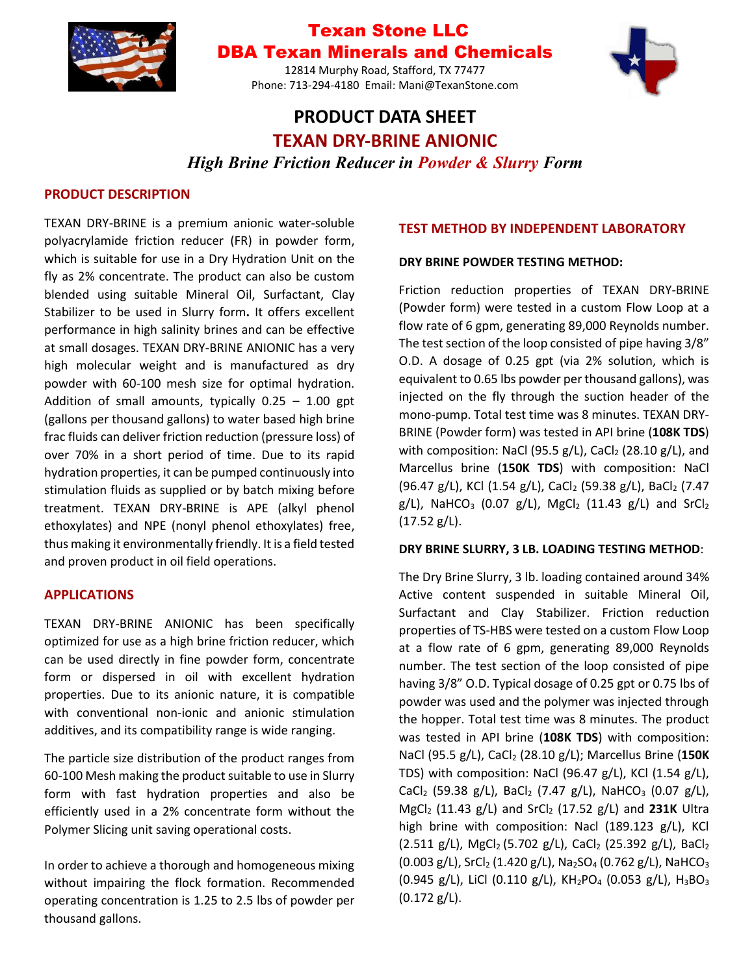

## Texan Stone LLC DBA Texan Minerals and Chemicals

12814 Murphy Road, Stafford, TX 77477 Phone: 713-294-4180 Email: Mani@TexanStone.com



# **PRODUCT DATA SHEET TEXAN DRY-BRINE ANIONIC**

*High Brine Friction Reducer in Powder & Slurry Form*

### **PRODUCT DESCRIPTION**

TEXAN DRY-BRINE is a premium anionic water-soluble polyacrylamide friction reducer (FR) in powder form, which is suitable for use in a Dry Hydration Unit on the fly as 2% concentrate. The product can also be custom blended using suitable Mineral Oil, Surfactant, Clay Stabilizer to be used in Slurry form**.** It offers excellent performance in high salinity brines and can be effective at small dosages. TEXAN DRY-BRINE ANIONIC has a very high molecular weight and is manufactured as dry powder with 60-100 mesh size for optimal hydration. Addition of small amounts, typically  $0.25 - 1.00$  gpt (gallons per thousand gallons) to water based high brine frac fluids can deliver friction reduction (pressure loss) of over 70% in a short period of time. Due to its rapid hydration properties, it can be pumped continuously into stimulation fluids as supplied or by batch mixing before treatment. TEXAN DRY-BRINE is APE (alkyl phenol ethoxylates) and NPE (nonyl phenol ethoxylates) free, thus making it environmentally friendly. It is a field tested and proven product in oil field operations.

#### **APPLICATIONS**

TEXAN DRY-BRINE ANIONIC has been specifically optimized for use as a high brine friction reducer, which can be used directly in fine powder form, concentrate form or dispersed in oil with excellent hydration properties. Due to its anionic nature, it is compatible with conventional non-ionic and anionic stimulation additives, and its compatibility range is wide ranging.

The particle size distribution of the product ranges from 60-100 Mesh making the product suitable to use in Slurry form with fast hydration properties and also be efficiently used in a 2% concentrate form without the Polymer Slicing unit saving operational costs.

In order to achieve a thorough and homogeneous mixing without impairing the flock formation. Recommended operating concentration is 1.25 to 2.5 lbs of powder per thousand gallons.

### **TEST METHOD BY INDEPENDENT LABORATORY**

### **DRY BRINE POWDER TESTING METHOD:**

Friction reduction properties of TEXAN DRY-BRINE (Powder form) were tested in a custom Flow Loop at a flow rate of 6 gpm, generating 89,000 Reynolds number. The test section of the loop consisted of pipe having 3/8" O.D. A dosage of 0.25 gpt (via 2% solution, which is equivalent to 0.65 lbs powder per thousand gallons), was injected on the fly through the suction header of the mono-pump. Total test time was 8 minutes. TEXAN DRY-BRINE (Powder form) was tested in API brine (**108K TDS**) with composition: NaCl (95.5 g/L), CaCl<sub>2</sub> (28.10 g/L), and Marcellus brine (**150K TDS**) with composition: NaCl (96.47 g/L), KCl (1.54 g/L), CaCl<sub>2</sub> (59.38 g/L), BaCl<sub>2</sub> (7.47  $g/L$ ), NaHCO<sub>3</sub> (0.07  $g/L$ ), MgCl<sub>2</sub> (11.43  $g/L$ ) and SrCl<sub>2</sub> (17.52 g/L).

#### **DRY BRINE SLURRY, 3 LB. LOADING TESTING METHOD**:

The Dry Brine Slurry, 3 lb. loading contained around 34% Active content suspended in suitable Mineral Oil, Surfactant and Clay Stabilizer. Friction reduction properties of TS-HBS were tested on a custom Flow Loop at a flow rate of 6 gpm, generating 89,000 Reynolds number. The test section of the loop consisted of pipe having 3/8" O.D. Typical dosage of 0.25 gpt or 0.75 lbs of powder was used and the polymer was injected through the hopper. Total test time was 8 minutes. The product was tested in API brine (**108K TDS**) with composition: NaCl (95.5 g/L), CaCl<sup>2</sup> (28.10 g/L); Marcellus Brine (**150K** TDS) with composition: NaCl (96.47  $g/L$ ), KCl (1.54  $g/L$ ), CaCl<sub>2</sub> (59.38 g/L), BaCl<sub>2</sub> (7.47 g/L), NaHCO<sub>3</sub> (0.07 g/L), MgCl<sup>2</sup> (11.43 g/L) and SrCl<sup>2</sup> (17.52 g/L) and **231K** Ultra high brine with composition: Nacl (189.123 g/L), KCl (2.511 g/L), MgCl<sub>2</sub> (5.702 g/L), CaCl<sub>2</sub> (25.392 g/L), BaCl<sub>2</sub>  $(0.003 \text{ g/L})$ , SrCl<sub>2</sub> (1.420 g/L), Na<sub>2</sub>SO<sub>4</sub> (0.762 g/L), NaHCO<sub>3</sub> (0.945 g/L), LiCl (0.110 g/L),  $KH_2PO_4$  (0.053 g/L),  $H_3BO_3$ (0.172 g/L).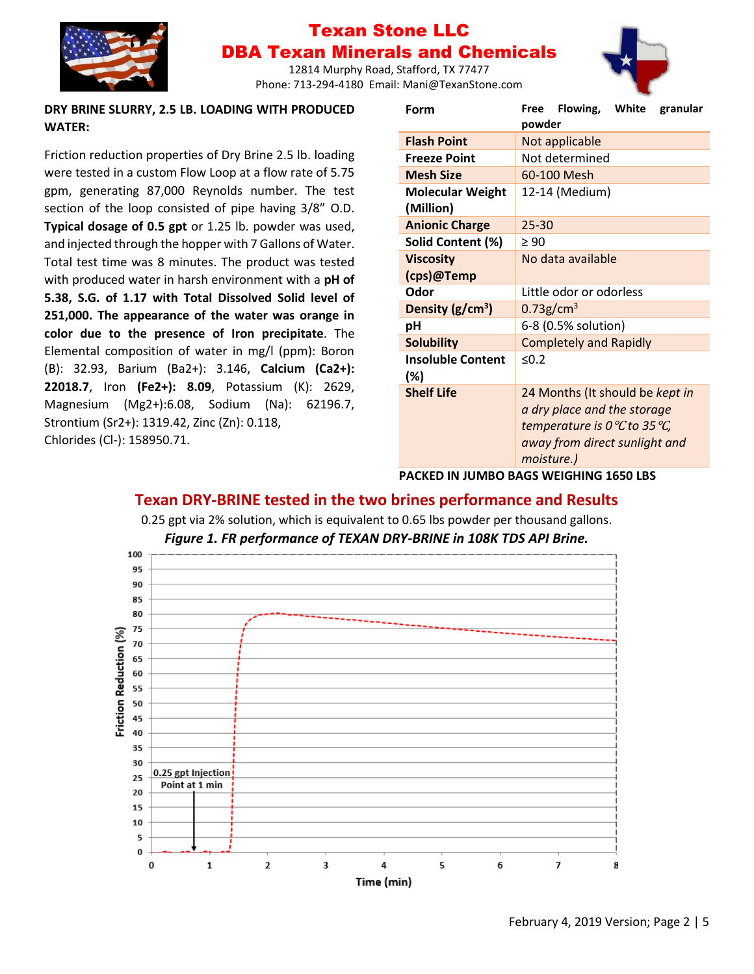

## Texan Stone LLC DBA Texan Minerals and Chemicals

12814 Murphy Road, Stafford, TX 77477 Phone: 713-294-4180 Email: Mani@TexanStone.com

#### **DRY BRINE SLURRY, 2.5 LB. LOADING WITH PRODUCED WATER:**

Friction reduction properties of Dry Brine 2.5 lb. loading were tested in a custom Flow Loop at a flow rate of 5.75 gpm, generating 87,000 Reynolds number. The test section of the loop consisted of pipe having 3/8" O.D. **Typical dosage of 0.5 gpt** or 1.25 lb. powder was used, and injected through the hopper with 7 Gallons of Water. Total test time was 8 minutes. The product was tested with produced water in harsh environment with a **pH of 5.38, S.G. of 1.17 with Total Dissolved Solid level of 251,000. The appearance of the water was orange in color due to the presence of Iron precipitate**. The Elemental composition of water in mg/l (ppm): Boron (B): 32.93, Barium (Ba2+): 3.146, **Calcium (Ca2+): 22018.7**, Iron **(Fe2+): 8.09**, Potassium (K): 2629, Magnesium (Mg2+):6.08, Sodium (Na): 62196.7, Strontium (Sr2+): 1319.42, Zinc (Zn): 0.118, Chlorides (Cl-): 158950.71.

| Form                                 | Flowing, White<br>granular<br>Free<br>powder         |
|--------------------------------------|------------------------------------------------------|
| <b>Flash Point</b>                   | Not applicable                                       |
| <b>Freeze Point</b>                  | Not determined                                       |
| <b>Mesh Size</b>                     | 60-100 Mesh                                          |
| <b>Molecular Weight</b><br>(Million) | 12-14 (Medium)                                       |
| <b>Anionic Charge</b>                | $25 - 30$                                            |
| Solid Content (%)                    | $\geq 90$                                            |
| <b>Viscosity</b>                     | No data available                                    |
| (cps)@Temp                           |                                                      |
| Odor                                 | Little odor or odorless                              |
| Density ( $g/cm3$ )                  | $0.73$ g/cm <sup>3</sup>                             |
| pH                                   | 6-8 (0.5% solution)                                  |
| <b>Solubility</b>                    | <b>Completely and Rapidly</b>                        |
| <b>Insoluble Content</b>             | < 0.2                                                |
| (%)                                  |                                                      |
| <b>Shelf Life</b>                    | 24 Months (It should be kept in                      |
|                                      | a dry place and the storage                          |
|                                      | temperature is 0 $\mathcal{C}$ to 35 $\mathcal{C}$ , |
|                                      | away from direct sunlight and                        |
|                                      | moisture.)                                           |

#### **PACKED IN JUMBO BAGS WEIGHING 1650 LBS**

## **Texan DRY-BRINE tested in the two brines performance and Results**

0.25 gpt via 2% solution, which is equivalent to 0.65 lbs powder per thousand gallons.

*Figure 1. FR performance of TEXAN DRY-BRINE in 108K TDS API Brine.*

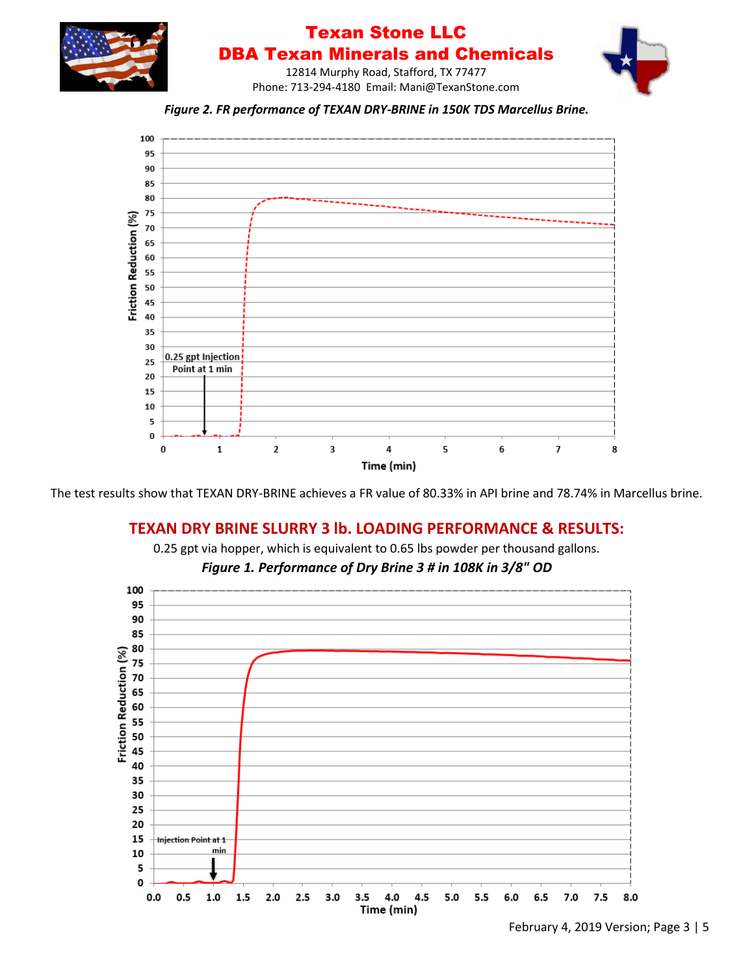

The test results show that TEXAN DRY-BRINE achieves a FR value of 80.33% in API brine and 78.74% in Marcellus brine.

## **TEXAN DRY BRINE SLURRY 3 lb. LOADING PERFORMANCE & RESULTS:**



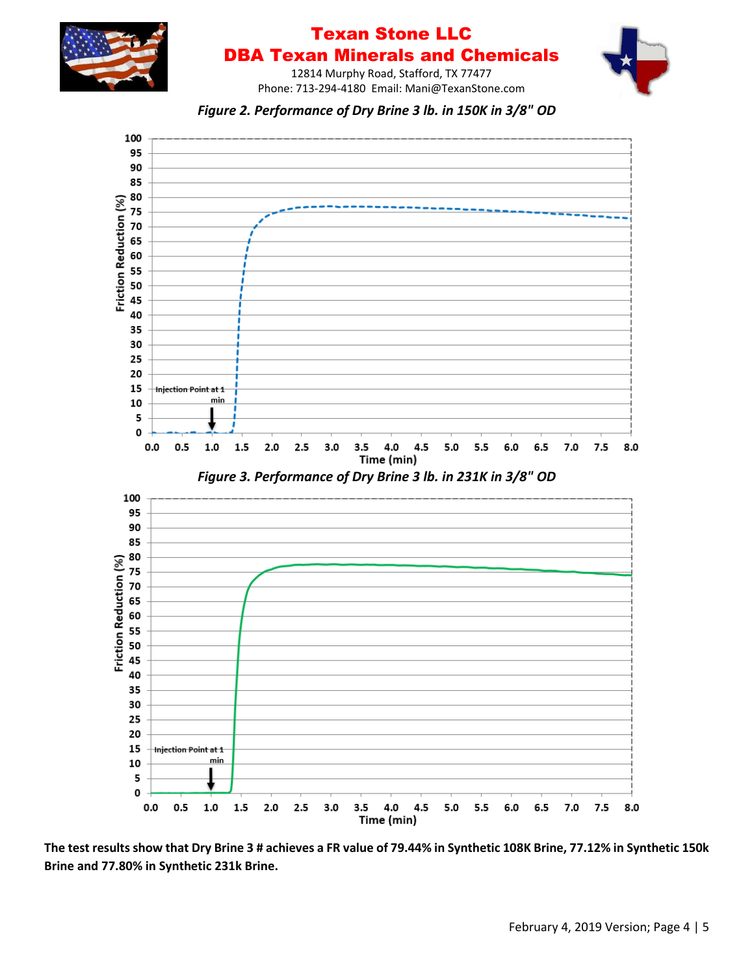

## Texan Stone LLC DBA Texan Minerals and Chemicals

12814 Murphy Road, Stafford, TX 77477 Phone: 713-294-4180 Email: Mani@TexanStone.com





**The test results show that Dry Brine 3 # achieves a FR value of 79.44% in Synthetic 108K Brine, 77.12% in Synthetic 150k Brine and 77.80% in Synthetic 231k Brine.**